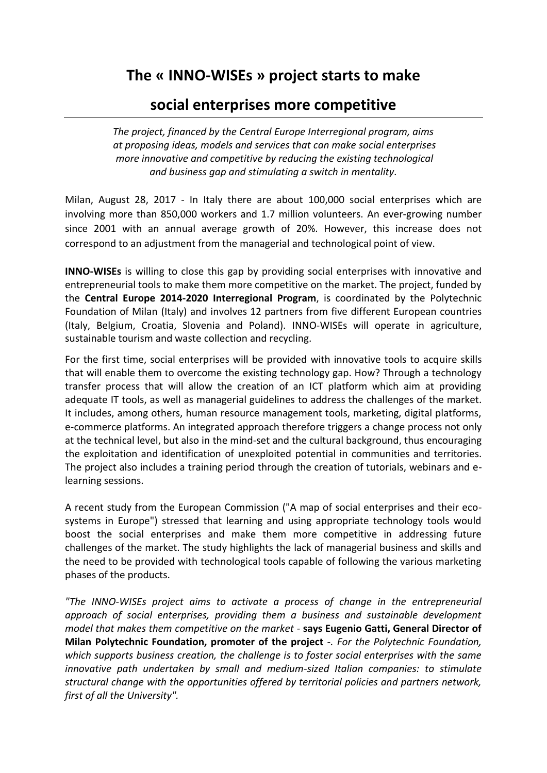## **The « INNO-WISEs » project starts to make**

## **social enterprises more competitive**

*The project, financed by the Central Europe Interregional program, aims at proposing ideas, models and services that can make social enterprises more innovative and competitive by reducing the existing technological and business gap and stimulating a switch in mentality.*

Milan, August 28, 2017 - In Italy there are about 100,000 social enterprises which are involving more than 850,000 workers and 1.7 million volunteers. An ever-growing number since 2001 with an annual average growth of 20%. However, this increase does not correspond to an adjustment from the managerial and technological point of view.

**INNO-WISEs** is willing to close this gap by providing social enterprises with innovative and entrepreneurial tools to make them more competitive on the market. The project, funded by the **Central Europe 2014-2020 Interregional Program**, is coordinated by the Polytechnic Foundation of Milan (Italy) and involves 12 partners from five different European countries (Italy, Belgium, Croatia, Slovenia and Poland). INNO-WISEs will operate in agriculture, sustainable tourism and waste collection and recycling.

For the first time, social enterprises will be provided with innovative tools to acquire skills that will enable them to overcome the existing technology gap. How? Through a technology transfer process that will allow the creation of an ICT platform which aim at providing adequate IT tools, as well as managerial guidelines to address the challenges of the market. It includes, among others, human resource management tools, marketing, digital platforms, e-commerce platforms. An integrated approach therefore triggers a change process not only at the technical level, but also in the mind-set and the cultural background, thus encouraging the exploitation and identification of unexploited potential in communities and territories. The project also includes a training period through the creation of tutorials, webinars and elearning sessions.

A recent study from the European Commission ("A map of social enterprises and their ecosystems in Europe") stressed that learning and using appropriate technology tools would boost the social enterprises and make them more competitive in addressing future challenges of the market. The study highlights the lack of managerial business and skills and the need to be provided with technological tools capable of following the various marketing phases of the products.

*"The INNO-WISEs project aims to activate a process of change in the entrepreneurial approach of social enterprises, providing them a business and sustainable development model that makes them competitive on the market -* **says Eugenio Gatti, General Director of Milan Polytechnic Foundation, promoter of the project** *-. For the Polytechnic Foundation, which supports business creation, the challenge is to foster social enterprises with the same innovative path undertaken by small and medium-sized Italian companies: to stimulate structural change with the opportunities offered by territorial policies and partners network, first of all the University".*